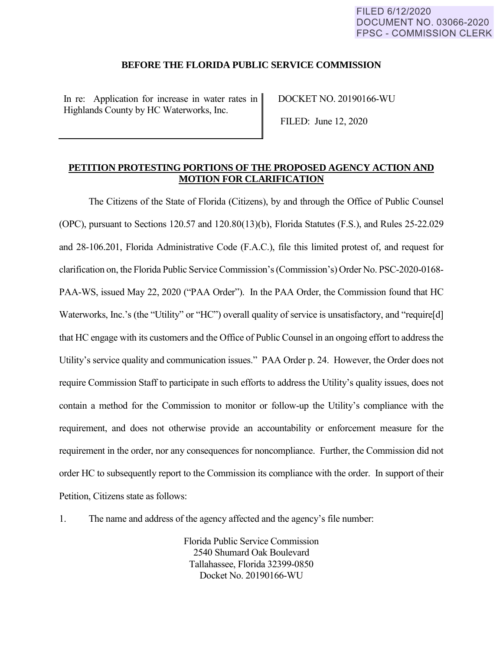#### **BEFORE THE FLORIDA PUBLIC SERVICE COMMISSION**

In re: Application for increase in water rates in Highlands County by HC Waterworks, Inc.

DOCKET NO. 20190166-WU

FILED: June 12, 2020

### **PETITION PROTESTING PORTIONS OF THE PROPOSED AGENCY ACTION AND MOTION FOR CLARIFICATION**

The Citizens of the State of Florida (Citizens), by and through the Office of Public Counsel (OPC), pursuant to Sections 120.57 and 120.80(13)(b), Florida Statutes (F.S.), and Rules 25-22.029 and 28-106.201, Florida Administrative Code (F.A.C.), file this limited protest of, and request for clarification on, the Florida Public Service Commission's (Commission's) Order No. PSC-2020-0168- PAA-WS, issued May 22, 2020 ("PAA Order"). In the PAA Order, the Commission found that HC Waterworks, Inc.'s (the "Utility" or "HC") overall quality of service is unsatisfactory, and "require[d] that HC engage with its customers and the Office of Public Counsel in an ongoing effort to address the Utility's service quality and communication issues." PAA Order p. 24. However, the Order does not require Commission Staff to participate in such efforts to address the Utility's quality issues, does not contain a method for the Commission to monitor or follow-up the Utility's compliance with the requirement, and does not otherwise provide an accountability or enforcement measure for the requirement in the order, nor any consequences for noncompliance. Further, the Commission did not order HC to subsequently report to the Commission its compliance with the order. In support of their Petition, Citizens state as follows:

1. The name and address of the agency affected and the agency's file number:

Florida Public Service Commission 2540 Shumard Oak Boulevard Tallahassee, Florida 32399-0850 Docket No. 20190166-WU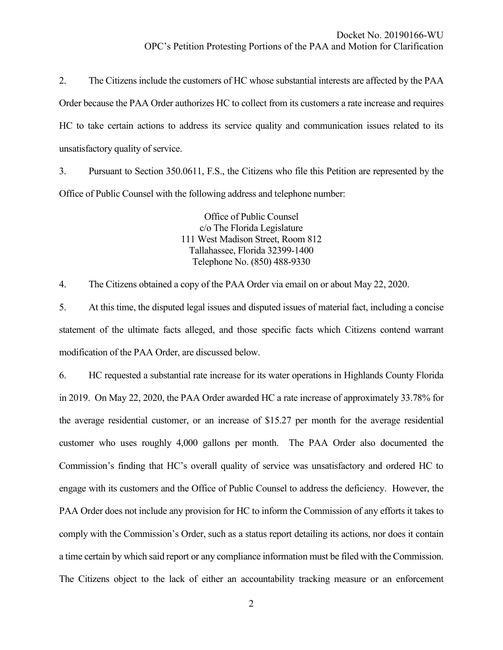2. The Citizens include the customers of HC whose substantial interests are affected by the PAA Order because the PAA Order authorizes HC to collect from its customers a rate increase and requires HC to take certain actions to address its service quality and communication issues related to its unsatisfactory quality of service.

3. Pursuant to Section 350.0611, F.S., the Citizens who file this Petition are represented by the Office of Public Counsel with the following address and telephone number:

> Office of Public Counsel c/o The Florida Legislature 111 West Madison Street, Room 812 Tallahassee, Florida 32399-1400 Telephone No. (850) 488-9330

4. The Citizens obtained a copy of the PAA Order via email on or about May 22, 2020.

5. At this time, the disputed legal issues and disputed issues of material fact, including a concise statement of the ultimate facts alleged, and those specific facts which Citizens contend warrant modification of the PAA Order, are discussed below.

6. HC requested a substantial rate increase for its water operations in Highlands County Florida in 2019. On May 22, 2020, the PAA Order awarded HC a rate increase of approximately 33.78% for the average residential customer, or an increase of \$15.27 per month for the average residential customer who uses roughly 4,000 gallons per month. The PAA Order also documented the Commission's finding that HC's overall quality of service was unsatisfactory and ordered HC to engage with its customers and the Office of Public Counsel to address the deficiency. However, the PAA Order does not include any provision for HC to inform the Commission of any efforts it takes to comply with the Commission's Order, such as a status report detailing its actions, nor does it contain a time certain by which said report or any compliance information must be filed with the Commission. The Citizens object to the lack of either an accountability tracking measure or an enforcement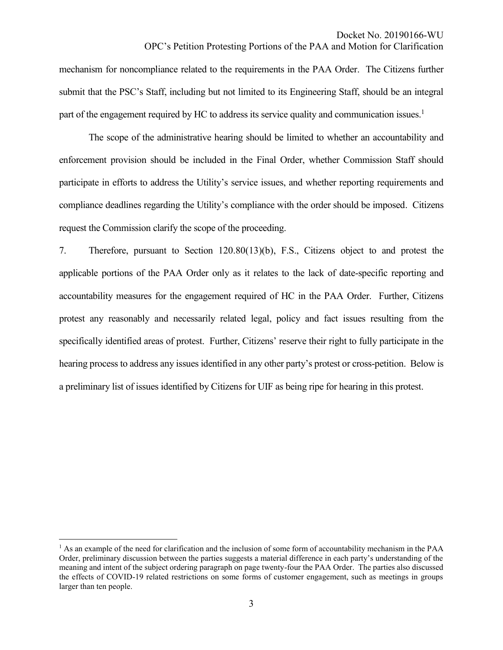#### Docket No. 20190166-WU

### OPC's Petition Protesting Portions of the PAA and Motion for Clarification

mechanism for noncompliance related to the requirements in the PAA Order. The Citizens further submit that the PSC's Staff, including but not limited to its Engineering Staff, should be an integral part of the engagement required by HC to address its service quality and communication issues.<sup>1</sup>

The scope of the administrative hearing should be limited to whether an accountability and enforcement provision should be included in the Final Order, whether Commission Staff should participate in efforts to address the Utility's service issues, and whether reporting requirements and compliance deadlines regarding the Utility's compliance with the order should be imposed. Citizens request the Commission clarify the scope of the proceeding.

7. Therefore, pursuant to Section 120.80(13)(b), F.S., Citizens object to and protest the applicable portions of the PAA Order only as it relates to the lack of date-specific reporting and accountability measures for the engagement required of HC in the PAA Order. Further, Citizens protest any reasonably and necessarily related legal, policy and fact issues resulting from the specifically identified areas of protest. Further, Citizens' reserve their right to fully participate in the hearing process to address any issues identified in any other party's protest or cross-petition. Below is a preliminary list of issues identified by Citizens for UIF as being ripe for hearing in this protest.

 $\overline{a}$ 

<sup>&</sup>lt;sup>1</sup> As an example of the need for clarification and the inclusion of some form of accountability mechanism in the PAA Order, preliminary discussion between the parties suggests a material difference in each party's understanding of the meaning and intent of the subject ordering paragraph on page twenty-four the PAA Order. The parties also discussed the effects of COVID-19 related restrictions on some forms of customer engagement, such as meetings in groups larger than ten people.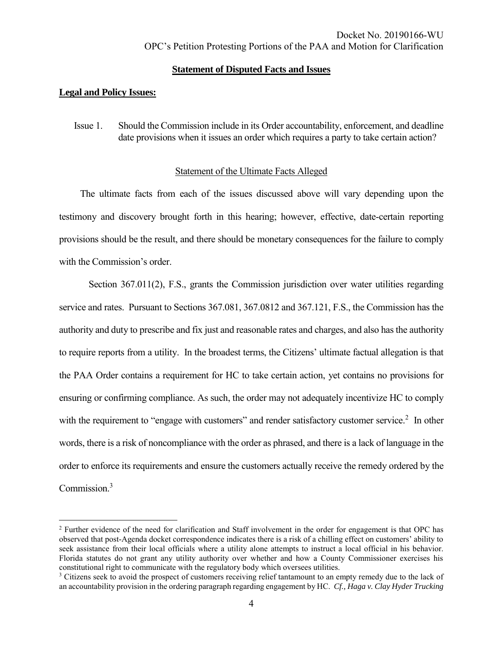### **Statement of Disputed Facts and Issues**

### **Legal and Policy Issues:**

 $\overline{a}$ 

Issue 1. Should the Commission include in its Order accountability, enforcement, and deadline date provisions when it issues an order which requires a party to take certain action?

## Statement of the Ultimate Facts Alleged

The ultimate facts from each of the issues discussed above will vary depending upon the testimony and discovery brought forth in this hearing; however, effective, date-certain reporting provisions should be the result, and there should be monetary consequences for the failure to comply with the Commission's order.

Section 367.011(2), F.S., grants the Commission jurisdiction over water utilities regarding service and rates. Pursuant to Sections 367.081, 367.0812 and 367.121, F.S., the Commission has the authority and duty to prescribe and fix just and reasonable rates and charges, and also has the authority to require reports from a utility. In the broadest terms, the Citizens' ultimate factual allegation is that the PAA Order contains a requirement for HC to take certain action, yet contains no provisions for ensuring or confirming compliance. As such, the order may not adequately incentivize HC to comply with the requirement to "engage with customers" and render satisfactory customer service.<sup>2</sup> In other words, there is a risk of noncompliance with the order as phrased, and there is a lack of language in the order to enforce its requirements and ensure the customers actually receive the remedy ordered by the Commission. 3

<sup>2</sup> Further evidence of the need for clarification and Staff involvement in the order for engagement is that OPC has observed that post-Agenda docket correspondence indicates there is a risk of a chilling effect on customers' ability to seek assistance from their local officials where a utility alone attempts to instruct a local official in his behavior. Florida statutes do not grant any utility authority over whether and how a County Commissioner exercises his constitutional right to communicate with the regulatory body which oversees utilities.

<sup>&</sup>lt;sup>3</sup> Citizens seek to avoid the prospect of customers receiving relief tantamount to an empty remedy due to the lack of an accountability provision in the ordering paragraph regarding engagement by HC. *Cf., Haga v. Clay Hyder Trucking*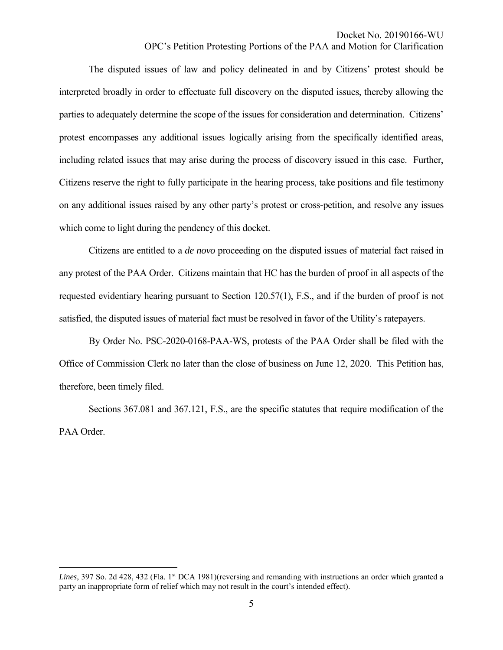OPC's Petition Protesting Portions of the PAA and Motion for Clarification

The disputed issues of law and policy delineated in and by Citizens' protest should be interpreted broadly in order to effectuate full discovery on the disputed issues, thereby allowing the parties to adequately determine the scope of the issues for consideration and determination. Citizens' protest encompasses any additional issues logically arising from the specifically identified areas, including related issues that may arise during the process of discovery issued in this case. Further, Citizens reserve the right to fully participate in the hearing process, take positions and file testimony on any additional issues raised by any other party's protest or cross-petition, and resolve any issues which come to light during the pendency of this docket.

Citizens are entitled to a *de novo* proceeding on the disputed issues of material fact raised in any protest of the PAA Order. Citizens maintain that HC has the burden of proof in all aspects of the requested evidentiary hearing pursuant to Section 120.57(1), F.S., and if the burden of proof is not satisfied, the disputed issues of material fact must be resolved in favor of the Utility's ratepayers.

By Order No. PSC-2020-0168-PAA-WS, protests of the PAA Order shall be filed with the Office of Commission Clerk no later than the close of business on June 12, 2020. This Petition has, therefore, been timely filed.

Sections 367.081 and 367.121, F.S., are the specific statutes that require modification of the PAA Order.

 $\overline{a}$ 

Lines, 397 So. 2d 428, 432 (Fla. 1<sup>st</sup> DCA 1981)(reversing and remanding with instructions an order which granted a party an inappropriate form of relief which may not result in the court's intended effect).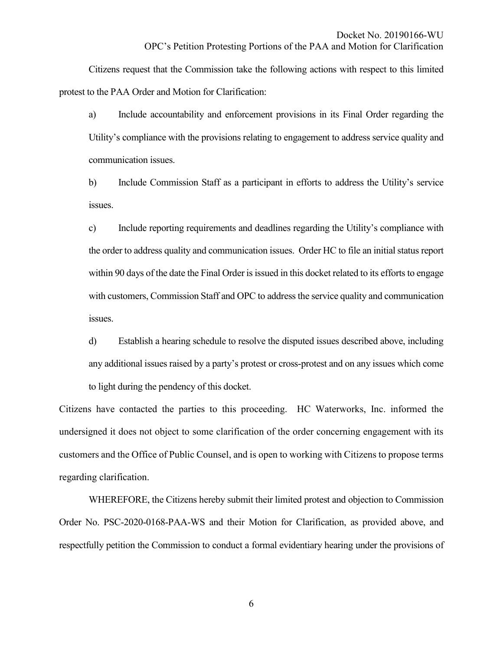OPC's Petition Protesting Portions of the PAA and Motion for Clarification

Citizens request that the Commission take the following actions with respect to this limited protest to the PAA Order and Motion for Clarification:

a) Include accountability and enforcement provisions in its Final Order regarding the Utility's compliance with the provisions relating to engagement to address service quality and communication issues.

b) Include Commission Staff as a participant in efforts to address the Utility's service issues.

c) Include reporting requirements and deadlines regarding the Utility's compliance with the order to address quality and communication issues. Order HC to file an initial status report within 90 days of the date the Final Order is issued in this docket related to its efforts to engage with customers, Commission Staff and OPC to address the service quality and communication issues.

d) Establish a hearing schedule to resolve the disputed issues described above, including any additional issues raised by a party's protest or cross-protest and on any issues which come to light during the pendency of this docket.

Citizens have contacted the parties to this proceeding. HC Waterworks, Inc. informed the undersigned it does not object to some clarification of the order concerning engagement with its customers and the Office of Public Counsel, and is open to working with Citizens to propose terms regarding clarification.

WHEREFORE, the Citizens hereby submit their limited protest and objection to Commission Order No. PSC-2020-0168-PAA-WS and their Motion for Clarification, as provided above, and respectfully petition the Commission to conduct a formal evidentiary hearing under the provisions of

6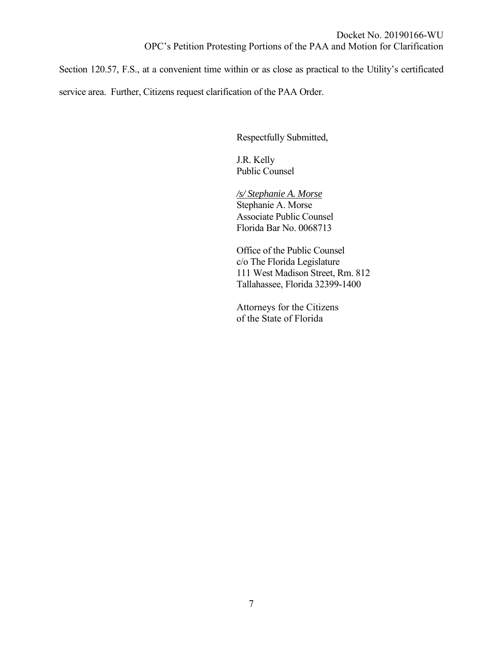Section 120.57, F.S., at a convenient time within or as close as practical to the Utility's certificated service area. Further, Citizens request clarification of the PAA Order.

Respectfully Submitted,

J.R. Kelly Public Counsel

*/s/ Stephanie A. Morse* Stephanie A. Morse Associate Public Counsel Florida Bar No. 0068713

Office of the Public Counsel c/o The Florida Legislature 111 West Madison Street, Rm. 812 Tallahassee, Florida 32399-1400

Attorneys for the Citizens of the State of Florida